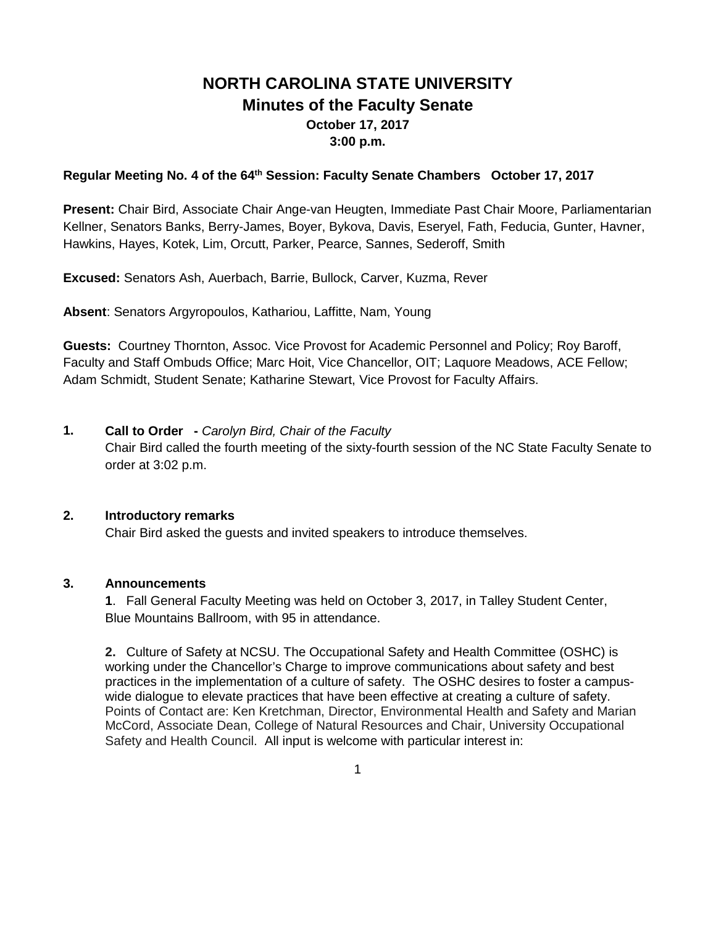# **NORTH CAROLINA STATE UNIVERSITY Minutes of the Faculty Senate October 17, 2017 3:00 p.m.**

### **Regular Meeting No. 4 of the 64th Session: Faculty Senate Chambers October 17, 2017**

**Present:** Chair Bird, Associate Chair Ange-van Heugten, Immediate Past Chair Moore, Parliamentarian Kellner, Senators Banks, Berry-James, Boyer, Bykova, Davis, Eseryel, Fath, Feducia, Gunter, Havner, Hawkins, Hayes, Kotek, Lim, Orcutt, Parker, Pearce, Sannes, Sederoff, Smith

**Excused:** Senators Ash, Auerbach, Barrie, Bullock, Carver, Kuzma, Rever

**Absent**: Senators Argyropoulos, Kathariou, Laffitte, Nam, Young

**Guests:** Courtney Thornton, Assoc. Vice Provost for Academic Personnel and Policy; Roy Baroff, Faculty and Staff Ombuds Office; Marc Hoit, Vice Chancellor, OIT; Laquore Meadows, ACE Fellow; Adam Schmidt, Student Senate; Katharine Stewart, Vice Provost for Faculty Affairs.

**1. Call to Order -** *Carolyn Bird, Chair of the Faculty* Chair Bird called the fourth meeting of the sixty-fourth session of the NC State Faculty Senate to order at 3:02 p.m.

### **2. Introductory remarks**

Chair Bird asked the guests and invited speakers to introduce themselves.

### **3. Announcements**

**1**. Fall General Faculty Meeting was held on October 3, 2017, in Talley Student Center, Blue Mountains Ballroom, with 95 in attendance.

**2.** Culture of Safety at NCSU. The Occupational Safety and Health Committee (OSHC) is working under the Chancellor's Charge to improve communications about safety and best practices in the implementation of a culture of safety. The OSHC desires to foster a campuswide dialogue to elevate practices that have been effective at creating a culture of safety. Points of Contact are: Ken Kretchman, Director, Environmental Health and Safety and Marian McCord, Associate Dean, College of Natural Resources and Chair, University Occupational Safety and Health Council. All input is welcome with particular interest in: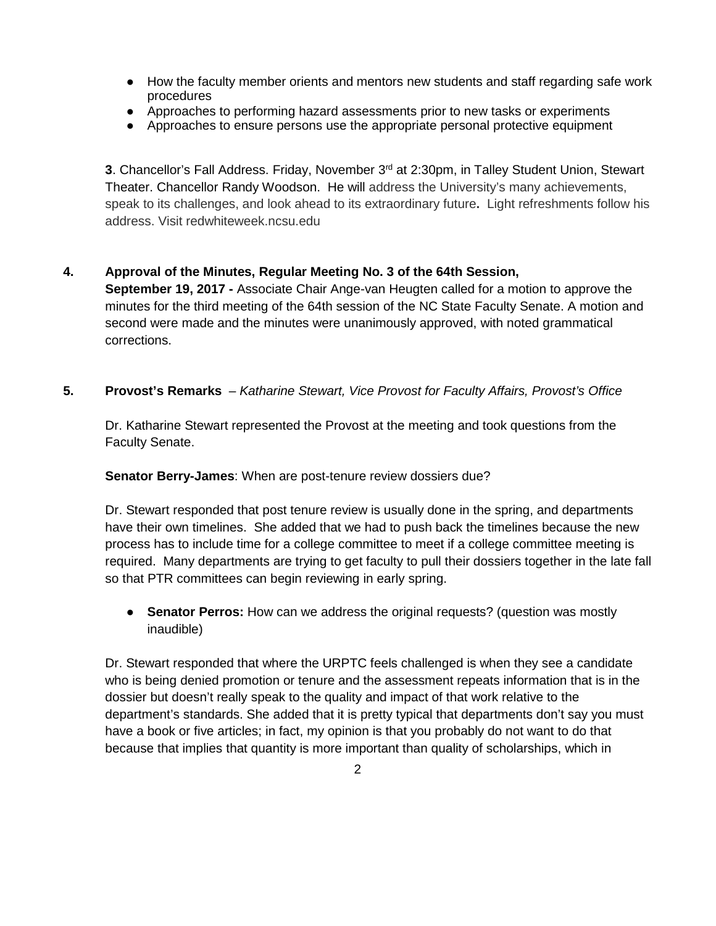- How the faculty member orients and mentors new students and staff regarding safe work procedures
- Approaches to performing hazard assessments prior to new tasks or experiments
- Approaches to ensure persons use the appropriate personal protective equipment

**3**. Chancellor's Fall Address. Friday, November 3<sup>rd</sup> at 2:30pm, in Talley Student Union, Stewart Theater. Chancellor Randy Woodson. He will address the University's many achievements, speak to its challenges, and look ahead to its extraordinary future**.** Light refreshments follow his address. Visit redwhiteweek.ncsu.edu

# **4. Approval of the Minutes, Regular Meeting No. 3 of the 64th Session,**

**September 19, 2017 -** Associate Chair Ange-van Heugten called for a motion to approve the minutes for the third meeting of the 64th session of the NC State Faculty Senate. A motion and second were made and the minutes were unanimously approved, with noted grammatical corrections.

### **5. Provost's Remarks** – *Katharine Stewart, Vice Provost for Faculty Affairs, Provost's Office*

Dr. Katharine Stewart represented the Provost at the meeting and took questions from the Faculty Senate.

**Senator Berry-James**: When are post-tenure review dossiers due?

Dr. Stewart responded that post tenure review is usually done in the spring, and departments have their own timelines. She added that we had to push back the timelines because the new process has to include time for a college committee to meet if a college committee meeting is required. Many departments are trying to get faculty to pull their dossiers together in the late fall so that PTR committees can begin reviewing in early spring.

● **Senator Perros:** How can we address the original requests? (question was mostly inaudible)

Dr. Stewart responded that where the URPTC feels challenged is when they see a candidate who is being denied promotion or tenure and the assessment repeats information that is in the dossier but doesn't really speak to the quality and impact of that work relative to the department's standards. She added that it is pretty typical that departments don't say you must have a book or five articles; in fact, my opinion is that you probably do not want to do that because that implies that quantity is more important than quality of scholarships, which in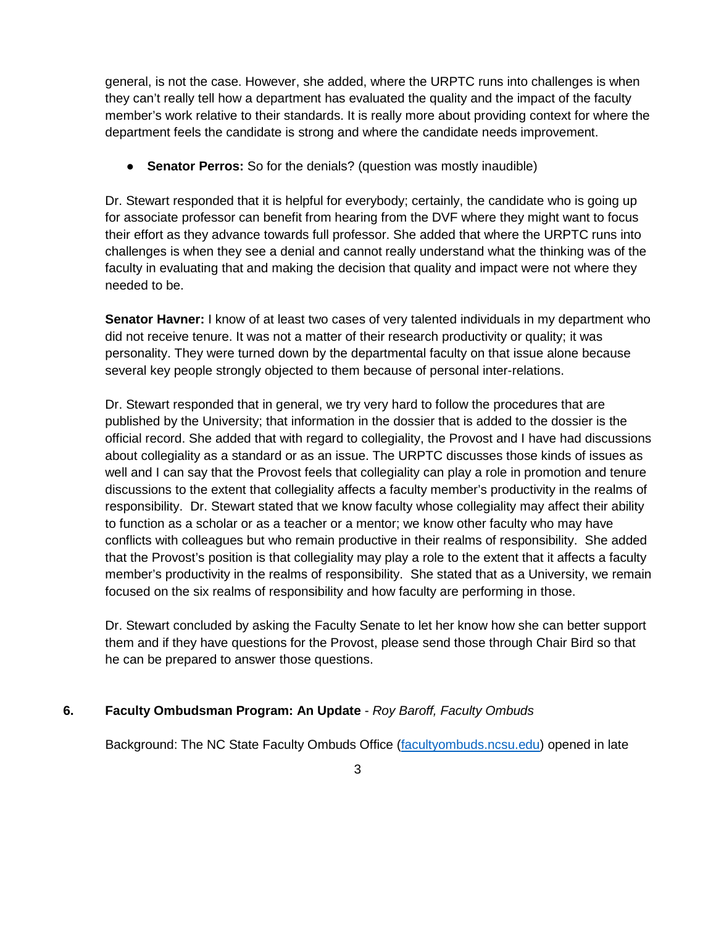general, is not the case. However, she added, where the URPTC runs into challenges is when they can't really tell how a department has evaluated the quality and the impact of the faculty member's work relative to their standards. It is really more about providing context for where the department feels the candidate is strong and where the candidate needs improvement.

**• Senator Perros:** So for the denials? (question was mostly inaudible)

Dr. Stewart responded that it is helpful for everybody; certainly, the candidate who is going up for associate professor can benefit from hearing from the DVF where they might want to focus their effort as they advance towards full professor. She added that where the URPTC runs into challenges is when they see a denial and cannot really understand what the thinking was of the faculty in evaluating that and making the decision that quality and impact were not where they needed to be.

**Senator Havner:** I know of at least two cases of very talented individuals in my department who did not receive tenure. It was not a matter of their research productivity or quality; it was personality. They were turned down by the departmental faculty on that issue alone because several key people strongly objected to them because of personal inter-relations.

Dr. Stewart responded that in general, we try very hard to follow the procedures that are published by the University; that information in the dossier that is added to the dossier is the official record. She added that with regard to collegiality, the Provost and I have had discussions about collegiality as a standard or as an issue. The URPTC discusses those kinds of issues as well and I can say that the Provost feels that collegiality can play a role in promotion and tenure discussions to the extent that collegiality affects a faculty member's productivity in the realms of responsibility. Dr. Stewart stated that we know faculty whose collegiality may affect their ability to function as a scholar or as a teacher or a mentor; we know other faculty who may have conflicts with colleagues but who remain productive in their realms of responsibility. She added that the Provost's position is that collegiality may play a role to the extent that it affects a faculty member's productivity in the realms of responsibility. She stated that as a University, we remain focused on the six realms of responsibility and how faculty are performing in those.

Dr. Stewart concluded by asking the Faculty Senate to let her know how she can better support them and if they have questions for the Provost, please send those through Chair Bird so that he can be prepared to answer those questions.

# **6. Faculty Ombudsman Program: An Update** - *Roy Baroff, Faculty Ombuds*

Background: The NC State Faculty Ombuds Office [\(facultyombuds.ncsu.edu\)](http://facultyombuds.ncsu.edu/) opened in late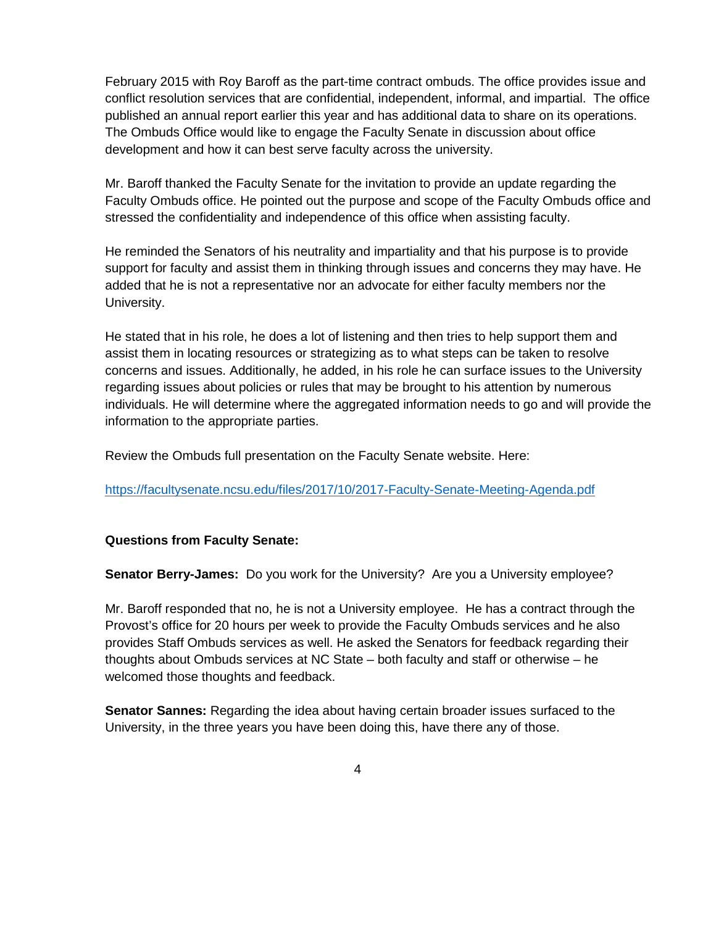February 2015 with Roy Baroff as the part-time contract ombuds. The office provides issue and conflict resolution services that are confidential, independent, informal, and impartial. The office published an annual report earlier this year and has additional data to share on its operations. The Ombuds Office would like to engage the Faculty Senate in discussion about office development and how it can best serve faculty across the university.

Mr. Baroff thanked the Faculty Senate for the invitation to provide an update regarding the Faculty Ombuds office. He pointed out the purpose and scope of the Faculty Ombuds office and stressed the confidentiality and independence of this office when assisting faculty.

He reminded the Senators of his neutrality and impartiality and that his purpose is to provide support for faculty and assist them in thinking through issues and concerns they may have. He added that he is not a representative nor an advocate for either faculty members nor the University.

He stated that in his role, he does a lot of listening and then tries to help support them and assist them in locating resources or strategizing as to what steps can be taken to resolve concerns and issues. Additionally, he added, in his role he can surface issues to the University regarding issues about policies or rules that may be brought to his attention by numerous individuals. He will determine where the aggregated information needs to go and will provide the information to the appropriate parties.

Review the Ombuds full presentation on the Faculty Senate website. Here:

<https://facultysenate.ncsu.edu/files/2017/10/2017-Faculty-Senate-Meeting-Agenda.pdf>

# **Questions from Faculty Senate:**

**Senator Berry-James:** Do you work for the University? Are you a University employee?

Mr. Baroff responded that no, he is not a University employee. He has a contract through the Provost's office for 20 hours per week to provide the Faculty Ombuds services and he also provides Staff Ombuds services as well. He asked the Senators for feedback regarding their thoughts about Ombuds services at NC State – both faculty and staff or otherwise – he welcomed those thoughts and feedback.

**Senator Sannes:** Regarding the idea about having certain broader issues surfaced to the University, in the three years you have been doing this, have there any of those.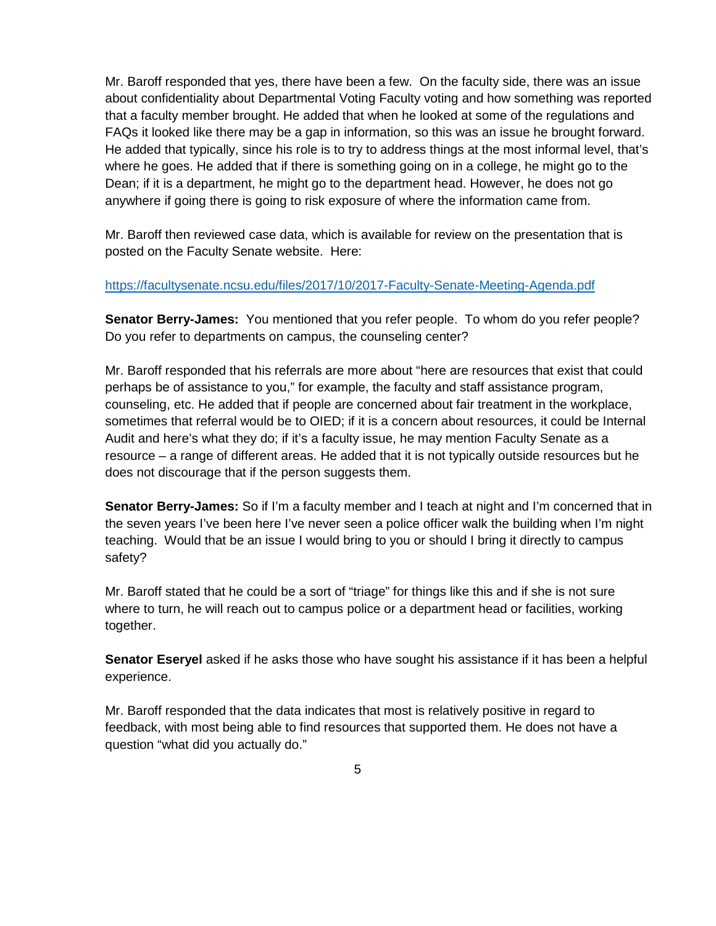Mr. Baroff responded that yes, there have been a few. On the faculty side, there was an issue about confidentiality about Departmental Voting Faculty voting and how something was reported that a faculty member brought. He added that when he looked at some of the regulations and FAQs it looked like there may be a gap in information, so this was an issue he brought forward. He added that typically, since his role is to try to address things at the most informal level, that's where he goes. He added that if there is something going on in a college, he might go to the Dean; if it is a department, he might go to the department head. However, he does not go anywhere if going there is going to risk exposure of where the information came from.

Mr. Baroff then reviewed case data, which is available for review on the presentation that is posted on the Faculty Senate website. Here:

### <https://facultysenate.ncsu.edu/files/2017/10/2017-Faculty-Senate-Meeting-Agenda.pdf>

**Senator Berry-James:** You mentioned that you refer people. To whom do you refer people? Do you refer to departments on campus, the counseling center?

Mr. Baroff responded that his referrals are more about "here are resources that exist that could perhaps be of assistance to you," for example, the faculty and staff assistance program, counseling, etc. He added that if people are concerned about fair treatment in the workplace, sometimes that referral would be to OIED; if it is a concern about resources, it could be Internal Audit and here's what they do; if it's a faculty issue, he may mention Faculty Senate as a resource – a range of different areas. He added that it is not typically outside resources but he does not discourage that if the person suggests them.

**Senator Berry-James:** So if I'm a faculty member and I teach at night and I'm concerned that in the seven years I've been here I've never seen a police officer walk the building when I'm night teaching. Would that be an issue I would bring to you or should I bring it directly to campus safety?

Mr. Baroff stated that he could be a sort of "triage" for things like this and if she is not sure where to turn, he will reach out to campus police or a department head or facilities, working together.

**Senator Eseryel** asked if he asks those who have sought his assistance if it has been a helpful experience.

Mr. Baroff responded that the data indicates that most is relatively positive in regard to feedback, with most being able to find resources that supported them. He does not have a question "what did you actually do."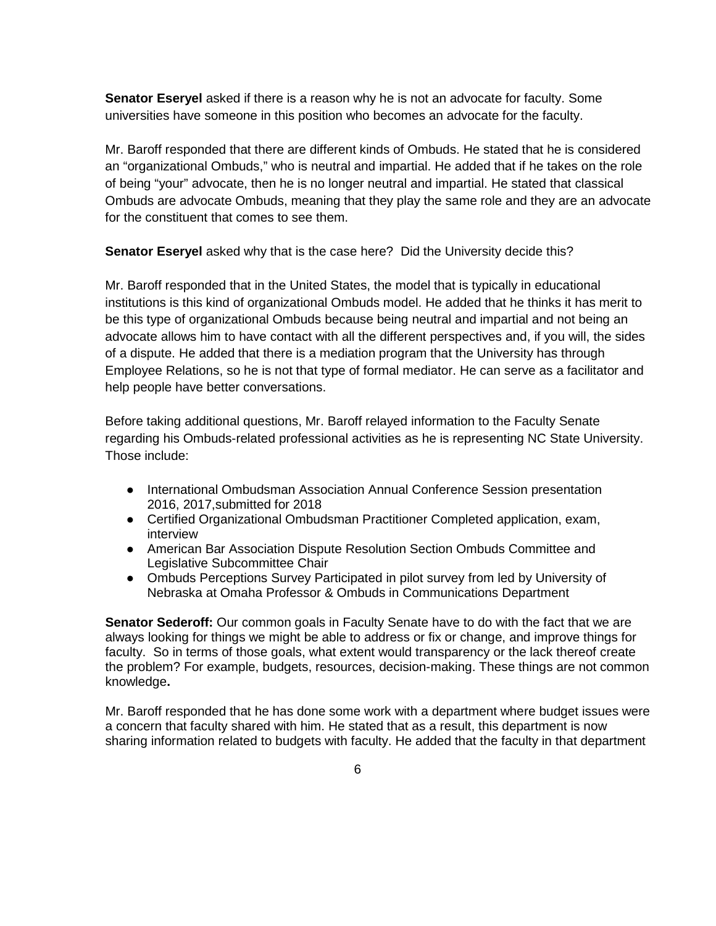**Senator Eseryel** asked if there is a reason why he is not an advocate for faculty. Some universities have someone in this position who becomes an advocate for the faculty.

Mr. Baroff responded that there are different kinds of Ombuds. He stated that he is considered an "organizational Ombuds," who is neutral and impartial. He added that if he takes on the role of being "your" advocate, then he is no longer neutral and impartial. He stated that classical Ombuds are advocate Ombuds, meaning that they play the same role and they are an advocate for the constituent that comes to see them.

**Senator Eseryel** asked why that is the case here? Did the University decide this?

Mr. Baroff responded that in the United States, the model that is typically in educational institutions is this kind of organizational Ombuds model. He added that he thinks it has merit to be this type of organizational Ombuds because being neutral and impartial and not being an advocate allows him to have contact with all the different perspectives and, if you will, the sides of a dispute. He added that there is a mediation program that the University has through Employee Relations, so he is not that type of formal mediator. He can serve as a facilitator and help people have better conversations.

Before taking additional questions, Mr. Baroff relayed information to the Faculty Senate regarding his Ombuds-related professional activities as he is representing NC State University. Those include:

- International Ombudsman Association Annual Conference Session presentation 2016, 2017,submitted for 2018
- Certified Organizational Ombudsman Practitioner Completed application, exam, interview
- American Bar Association Dispute Resolution Section Ombuds Committee and Legislative Subcommittee Chair
- Ombuds Perceptions Survey Participated in pilot survey from led by University of Nebraska at Omaha Professor & Ombuds in Communications Department

**Senator Sederoff:** Our common goals in Faculty Senate have to do with the fact that we are always looking for things we might be able to address or fix or change, and improve things for faculty. So in terms of those goals, what extent would transparency or the lack thereof create the problem? For example, budgets, resources, decision-making. These things are not common knowledge**.** 

Mr. Baroff responded that he has done some work with a department where budget issues were a concern that faculty shared with him. He stated that as a result, this department is now sharing information related to budgets with faculty. He added that the faculty in that department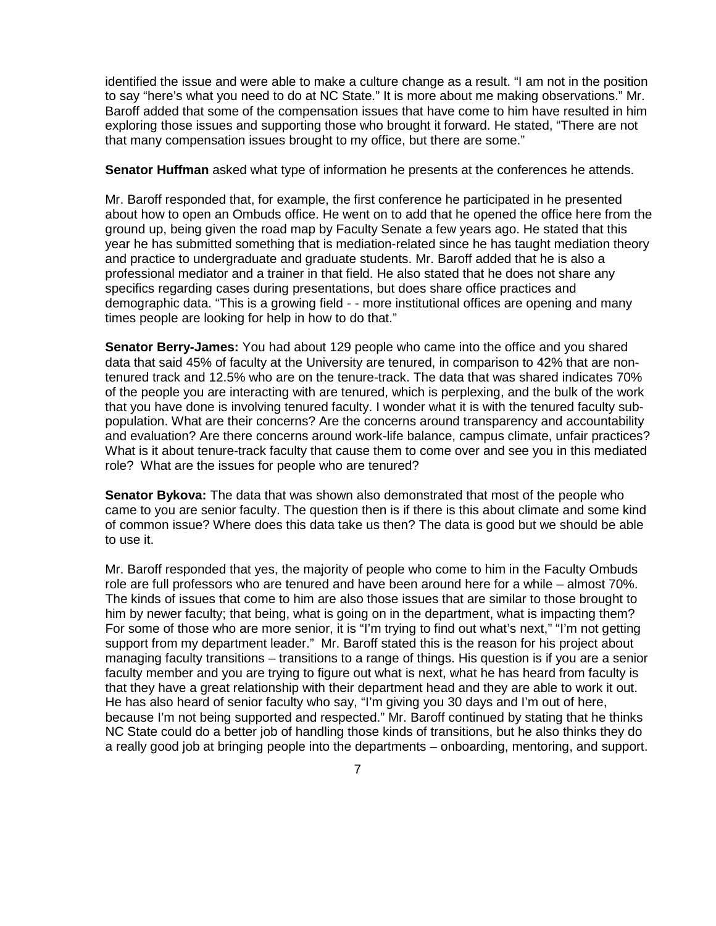identified the issue and were able to make a culture change as a result. "I am not in the position to say "here's what you need to do at NC State." It is more about me making observations." Mr. Baroff added that some of the compensation issues that have come to him have resulted in him exploring those issues and supporting those who brought it forward. He stated, "There are not that many compensation issues brought to my office, but there are some."

**Senator Huffman** asked what type of information he presents at the conferences he attends.

Mr. Baroff responded that, for example, the first conference he participated in he presented about how to open an Ombuds office. He went on to add that he opened the office here from the ground up, being given the road map by Faculty Senate a few years ago. He stated that this year he has submitted something that is mediation-related since he has taught mediation theory and practice to undergraduate and graduate students. Mr. Baroff added that he is also a professional mediator and a trainer in that field. He also stated that he does not share any specifics regarding cases during presentations, but does share office practices and demographic data. "This is a growing field - - more institutional offices are opening and many times people are looking for help in how to do that."

**Senator Berry-James:** You had about 129 people who came into the office and you shared data that said 45% of faculty at the University are tenured, in comparison to 42% that are nontenured track and 12.5% who are on the tenure-track. The data that was shared indicates 70% of the people you are interacting with are tenured, which is perplexing, and the bulk of the work that you have done is involving tenured faculty. I wonder what it is with the tenured faculty subpopulation. What are their concerns? Are the concerns around transparency and accountability and evaluation? Are there concerns around work-life balance, campus climate, unfair practices? What is it about tenure-track faculty that cause them to come over and see you in this mediated role? What are the issues for people who are tenured?

**Senator Bykova:** The data that was shown also demonstrated that most of the people who came to you are senior faculty. The question then is if there is this about climate and some kind of common issue? Where does this data take us then? The data is good but we should be able to use it.

Mr. Baroff responded that yes, the majority of people who come to him in the Faculty Ombuds role are full professors who are tenured and have been around here for a while – almost 70%. The kinds of issues that come to him are also those issues that are similar to those brought to him by newer faculty; that being, what is going on in the department, what is impacting them? For some of those who are more senior, it is "I'm trying to find out what's next," "I'm not getting support from my department leader." Mr. Baroff stated this is the reason for his project about managing faculty transitions – transitions to a range of things. His question is if you are a senior faculty member and you are trying to figure out what is next, what he has heard from faculty is that they have a great relationship with their department head and they are able to work it out. He has also heard of senior faculty who say, "I'm giving you 30 days and I'm out of here, because I'm not being supported and respected." Mr. Baroff continued by stating that he thinks NC State could do a better job of handling those kinds of transitions, but he also thinks they do a really good job at bringing people into the departments – onboarding, mentoring, and support.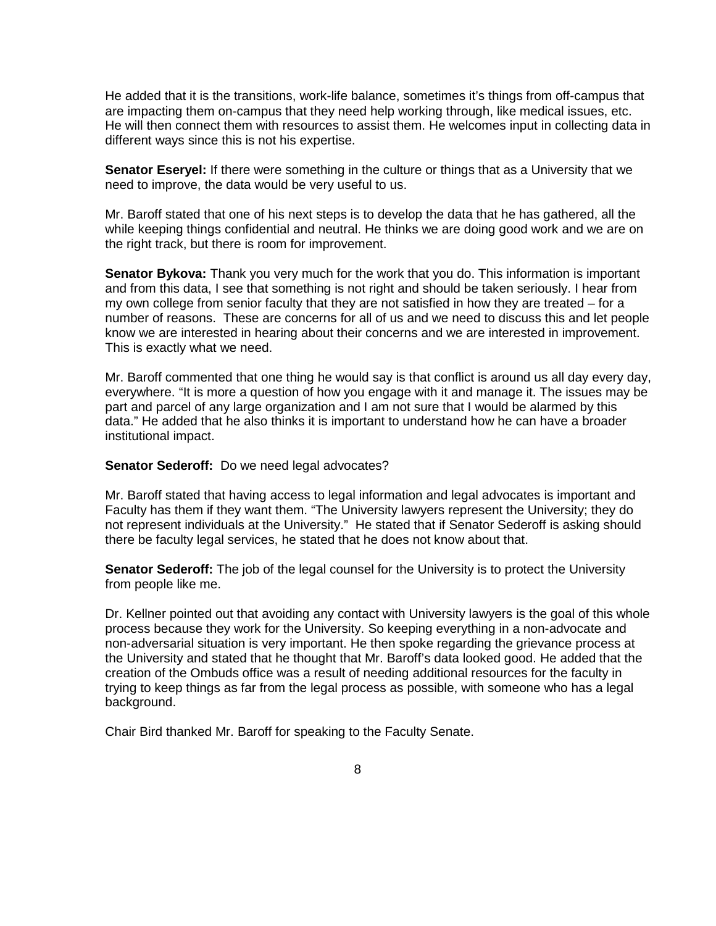He added that it is the transitions, work-life balance, sometimes it's things from off-campus that are impacting them on-campus that they need help working through, like medical issues, etc. He will then connect them with resources to assist them. He welcomes input in collecting data in different ways since this is not his expertise.

**Senator Eseryel:** If there were something in the culture or things that as a University that we need to improve, the data would be very useful to us.

Mr. Baroff stated that one of his next steps is to develop the data that he has gathered, all the while keeping things confidential and neutral. He thinks we are doing good work and we are on the right track, but there is room for improvement.

**Senator Bykova:** Thank you very much for the work that you do. This information is important and from this data, I see that something is not right and should be taken seriously. I hear from my own college from senior faculty that they are not satisfied in how they are treated – for a number of reasons. These are concerns for all of us and we need to discuss this and let people know we are interested in hearing about their concerns and we are interested in improvement. This is exactly what we need.

Mr. Baroff commented that one thing he would say is that conflict is around us all day every day, everywhere. "It is more a question of how you engage with it and manage it. The issues may be part and parcel of any large organization and I am not sure that I would be alarmed by this data." He added that he also thinks it is important to understand how he can have a broader institutional impact.

**Senator Sederoff:** Do we need legal advocates?

Mr. Baroff stated that having access to legal information and legal advocates is important and Faculty has them if they want them. "The University lawyers represent the University; they do not represent individuals at the University." He stated that if Senator Sederoff is asking should there be faculty legal services, he stated that he does not know about that.

**Senator Sederoff:** The job of the legal counsel for the University is to protect the University from people like me.

Dr. Kellner pointed out that avoiding any contact with University lawyers is the goal of this whole process because they work for the University. So keeping everything in a non-advocate and non-adversarial situation is very important. He then spoke regarding the grievance process at the University and stated that he thought that Mr. Baroff's data looked good. He added that the creation of the Ombuds office was a result of needing additional resources for the faculty in trying to keep things as far from the legal process as possible, with someone who has a legal background.

Chair Bird thanked Mr. Baroff for speaking to the Faculty Senate.